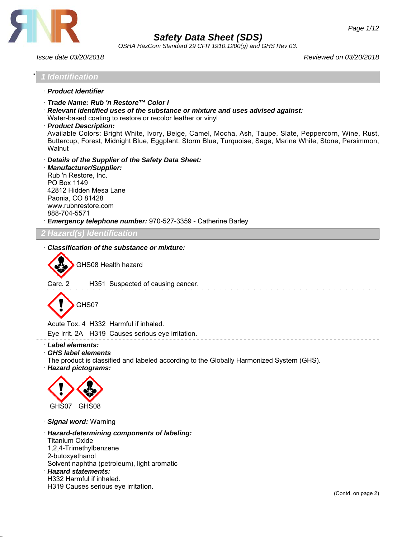

*OSHA HazCom Standard 29 CFR 1910.1200(g) and GHS Rev 03.*

*Issue date 03/20/2018 Reviewed on 03/20/2018*



· *Hazard pictograms:*



· *Signal word:* Warning

· *Hazard-determining components of labeling:* Titanium Oxide 1,2,4-Trimethylbenzene 2-butoxyethanol Solvent naphtha (petroleum), light aromatic · *Hazard statements:* H332 Harmful if inhaled. H319 Causes serious eye irritation.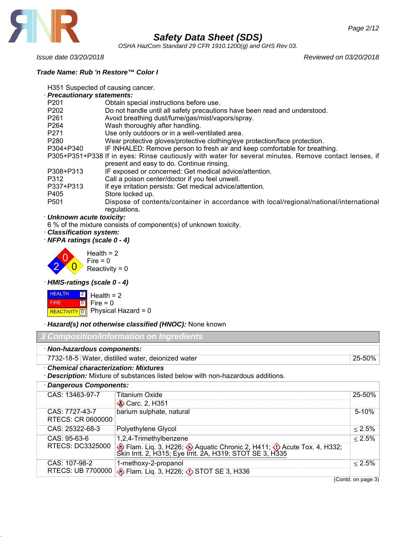

*OSHA HazCom Standard 29 CFR 1910.1200(g) and GHS Rev 03.*

*Trade Name: Rub 'n Restore™ Color I*

H351 Suspected of causing cancer.

· *Precautionary statements:* P201 Obtain special instructions before use. P202 Do not handle until all safety precautions have been read and understood. P261 Avoid breathing dust/fume/gas/mist/vapors/spray. P264 Wash thoroughly after handling. P271 Use only outdoors or in a well-ventilated area. P280 Wear protective gloves/protective clothing/eye protection/face protection. P304+P340 IF INHALED: Remove person to fresh air and keep comfortable for breathing. P305+P351+P338 If in eyes: Rinse cautiously with water for several minutes. Remove contact lenses, if present and easy to do. Continue rinsing. P308+P313 IF exposed or concerned: Get medical advice/attention. P312 Call a poison center/doctor if you feel unwell. P337+P313 If eye irritation persists: Get medical advice/attention. P405 Store locked up.<br>
P501 Dispose of cont Dispose of contents/container in accordance with local/regional/national/international regulations.

#### · *Unknown acute toxicity:*

6 % of the mixture consists of component(s) of unknown toxicity.

· *Classification system:*

· *NFPA ratings (scale 0 - 4)*



· *HMIS-ratings (scale 0 - 4)*

|             | $H\left[\frac{HEALTH}{2}\right]$ Health = 2     |
|-------------|-------------------------------------------------|
| <b>FIRE</b> | $\begin{bmatrix} 0 \\ 1 \end{bmatrix}$ Fire = 0 |
|             | REACTIVITY 0 Physical Hazard = 0                |

· *Hazard(s) not otherwise classified (HNOC):* None known

| 3 Composition/Information on Ingredients                                                                                           |                                                   |           |
|------------------------------------------------------------------------------------------------------------------------------------|---------------------------------------------------|-----------|
| · Non-hazardous components:                                                                                                        |                                                   |           |
|                                                                                                                                    | 7732-18-5 Water, distilled water, deionized water | 25-50%    |
| <b>Chemical characterization: Mixtures</b><br><b>Description:</b> Mixture of substances listed below with non-hazardous additions. |                                                   |           |
| <b>Dangerous Components:</b>                                                                                                       |                                                   |           |
| CAS: 13463-97-7                                                                                                                    | <b>Titanium Oxide</b>                             | 25-50%    |
|                                                                                                                                    | Carc. 2, H351                                     |           |
| CAS: 7727-43-7                                                                                                                     | barium sulphate, natural                          | $5 - 10%$ |

| RTECS: CR 0600000                  |                                                                                                                                                          |           |
|------------------------------------|----------------------------------------------------------------------------------------------------------------------------------------------------------|-----------|
| CAS: 25322-68-3                    | Polyethylene Glycol                                                                                                                                      | $< 2.5\%$ |
| $CAS: 95-63-6$<br>RTECS: DC3325000 | 1,2,4-Trimethylbenzene<br>Elam. Liq. 3, H226; → Aquatic Chronic 2, H411; → Acute Tox. 4, H332; Skin Irrit. 2, H315; Eye Irrit. 2A, H319; STOT SE 3, H335 | $< 2.5\%$ |
| CAS: 107-98-2                      | 1-methoxy-2-propanol<br>RTECS: UB 7700000 & Flam. Liq. 3, H226; 3 STOT SE 3, H336                                                                        | $< 2.5\%$ |

(Contd. on page 3)

*Issue date 03/20/2018 Reviewed on 03/20/2018*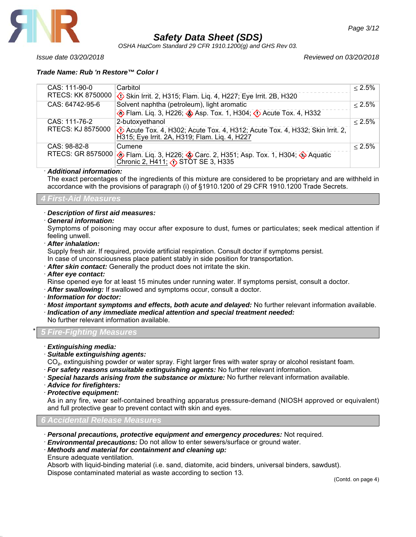

*OSHA HazCom Standard 29 CFR 1910.1200(g) and GHS Rev 03.*

*Issue date 03/20/2018 Reviewed on 03/20/2018*

| CAS: 111-90-0     | Carbitol                                                                                                                   | $\leq 2.5\%$ |
|-------------------|----------------------------------------------------------------------------------------------------------------------------|--------------|
| RTECS: KK 8750000 | Skin Irrit. 2, H315; Flam. Liq. 4, H227; Eye Irrit. 2B, H320                                                               |              |
| CAS: 64742-95-6   | Solvent naphtha (petroleum), light aromatic                                                                                | $\leq 2.5\%$ |
|                   | <b>O</b> Flam. Liq. 3, H226; <b>O</b> Asp. Tox. 1, H304; <b>O</b> Acute Tox. 4, H332                                       |              |
| CAS: 111-76-2     | 2-butoxyethanol                                                                                                            | $< 2.5\%$    |
| RTECS: KJ 8575000 | C Acute Tox. 4, H302; Acute Tox. 4, H312; Acute Tox. 4, H332; Skin Irrit. 2, H315; Eye Irrit. 2A, H319; Flam. Liq. 4, H227 |              |
| CAS: 98-82-8      | Cumene                                                                                                                     | $< 2.5\%$    |
|                   | RTECS: GR 8575000 C Flam. Liq. 3, H226; Carc. 2, H351; Asp. Tox. 1, H304; O Aquatic Chronic 2, H411; ( STOT SE 3, H335     |              |

#### · *Additional information:*

The exact percentages of the ingredients of this mixture are considered to be proprietary and are withheld in accordance with the provisions of paragraph (i) of §1910.1200 of 29 CFR 1910.1200 Trade Secrets.

### *4 First-Aid Measures*

### · *Description of first aid measures:*

· *General information:*

Symptoms of poisoning may occur after exposure to dust, fumes or particulates; seek medical attention if feeling unwell.

· *After inhalation:*

Supply fresh air. If required, provide artificial respiration. Consult doctor if symptoms persist.

In case of unconsciousness place patient stably in side position for transportation.

- · *After skin contact:* Generally the product does not irritate the skin.
- · *After eye contact:*

Rinse opened eye for at least 15 minutes under running water. If symptoms persist, consult a doctor.

- · *After swallowing:* If swallowed and symptoms occur, consult a doctor.
- · *Information for doctor:*
- · *Most important symptoms and effects, both acute and delayed:* No further relevant information available.
- · *Indication of any immediate medical attention and special treatment needed:*

No further relevant information available.

\* *5 Fire-Fighting Measures*

- · *Extinguishing media:*
- · *Suitable extinguishing agents:*

CO<sub>2</sub>, extinguishing powder or water spray. Fight larger fires with water spray or alcohol resistant foam.

- · *For safety reasons unsuitable extinguishing agents:* No further relevant information.
- · *Special hazards arising from the substance or mixture:* No further relevant information available.
- · *Advice for firefighters:*
- · *Protective equipment:*

As in any fire, wear self-contained breathing apparatus pressure-demand (NIOSH approved or equivalent) and full protective gear to prevent contact with skin and eyes.

### *6 Accidental Release Measures*

- · *Personal precautions, protective equipment and emergency procedures:* Not required.
- · *Environmental precautions:* Do not allow to enter sewers/surface or ground water.
- · *Methods and material for containment and cleaning up:*
- Ensure adequate ventilation.

Absorb with liquid-binding material (i.e. sand, diatomite, acid binders, universal binders, sawdust). Dispose contaminated material as waste according to section 13.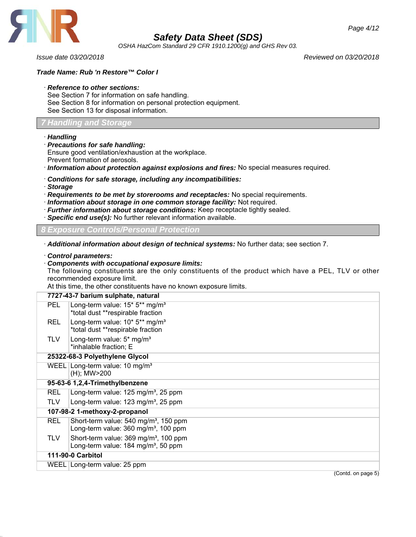

*OSHA HazCom Standard 29 CFR 1910.1200(g) and GHS Rev 03.*

### *Trade Name: Rub 'n Restore™ Color I*

#### · *Reference to other sections:*

See Section 7 for information on safe handling. See Section 8 for information on personal protection equipment. See Section 13 for disposal information.

#### *7 Handling and Storage*

· *Handling*

· *Precautions for safe handling:*

Ensure good ventilation/exhaustion at the workplace.

Prevent formation of aerosols.

· *Information about protection against explosions and fires:* No special measures required.

- · *Conditions for safe storage, including any incompatibilities:*
- · *Storage*
- · *Requirements to be met by storerooms and receptacles:* No special requirements.
- · *Information about storage in one common storage facility:* Not required.
- · *Further information about storage conditions:* Keep receptacle tightly sealed.
- · *Specific end use(s):* No further relevant information available.

*Exposure Controls/Personal Protection* 

· *Additional information about design of technical systems:* No further data; see section 7.

· *Control parameters:*

#### · *Components with occupational exposure limits:*

The following constituents are the only constituents of the product which have a PEL, TLV or other recommended exposure limit.

At this time, the other constituents have no known exposure limits.

|            | 7727-43-7 barium sulphate, natural                                                                    |  |  |
|------------|-------------------------------------------------------------------------------------------------------|--|--|
| PEL.       | Long-term value: $15*5**$ mg/m <sup>3</sup><br>*total dust **respirable fraction                      |  |  |
| <b>REL</b> | Long-term value: 10* 5** mg/m <sup>3</sup><br>*total dust **respirable fraction                       |  |  |
| <b>TLV</b> | Long-term value: 5* mg/m <sup>3</sup><br>*inhalable fraction; E                                       |  |  |
|            | 25322-68-3 Polyethylene Glycol                                                                        |  |  |
|            | WEEL Long-term value: 10 mg/m <sup>3</sup><br>(H); MW>200                                             |  |  |
|            | 95-63-6 1,2,4-Trimethylbenzene                                                                        |  |  |
| <b>REL</b> | Long-term value: 125 mg/m <sup>3</sup> , 25 ppm                                                       |  |  |
| <b>TLV</b> | Long-term value: 123 mg/m <sup>3</sup> , 25 ppm                                                       |  |  |
|            | 107-98-2 1-methoxy-2-propanol                                                                         |  |  |
| <b>REL</b> | Short-term value: 540 mg/m <sup>3</sup> , 150 ppm<br>Long-term value: 360 mg/m <sup>3</sup> , 100 ppm |  |  |
| <b>TLV</b> | Short-term value: 369 mg/m <sup>3</sup> , 100 ppm<br>Long-term value: 184 mg/m <sup>3</sup> , 50 ppm  |  |  |
|            | 111-90-0 Carbitol                                                                                     |  |  |
|            | WEEL   Long-term value: 25 ppm                                                                        |  |  |
|            | (Contd. on page 5)                                                                                    |  |  |

*Issue date 03/20/2018 Reviewed on 03/20/2018*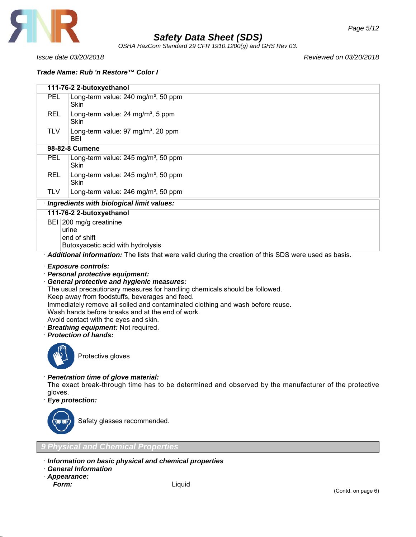

*OSHA HazCom Standard 29 CFR 1910.1200(g) and GHS Rev 03.*

*Issue date 03/20/2018 Reviewed on 03/20/2018*

*Trade Name: Rub 'n Restore™ Color I*

| 111-76-2 2-butoxyethanol                                                                              |                                                         |  |
|-------------------------------------------------------------------------------------------------------|---------------------------------------------------------|--|
| <b>PEL</b>                                                                                            | Long-term value: 240 mg/m <sup>3</sup> , 50 ppm<br>Skin |  |
| <b>REL</b>                                                                                            | Long-term value: $24 \text{ mg/m}^3$ , 5 ppm<br>Skin    |  |
| TLV.                                                                                                  | Long-term value: $97 \text{ mg/m}^3$ , 20 ppm<br>BEI    |  |
|                                                                                                       | 98-82-8 Cumene                                          |  |
| <b>PEL</b>                                                                                            | Long-term value: $245 \text{ mg/m}^3$ , 50 ppm<br>Skin  |  |
| <b>REL</b>                                                                                            | Long-term value: $245 \text{ mg/m}^3$ , 50 ppm<br>Skin  |  |
| TLV.                                                                                                  | Long-term value: 246 mg/m <sup>3</sup> , 50 ppm         |  |
|                                                                                                       | · Ingredients with biological limit values:             |  |
| 111-76-2 2-butoxyethanol                                                                              |                                                         |  |
| BEI 200 mg/g creatinine<br>urine<br>end of shift<br>Butoxyacetic acid with hydrolysis                 |                                                         |  |
| Additional information: The lists that were valid during the creation of this SDS were used as basis. |                                                         |  |
|                                                                                                       |                                                         |  |
|                                                                                                       | · Exposure controls:                                    |  |

- · *Personal protective equipment:*
- · *General protective and hygienic measures:*

The usual precautionary measures for handling chemicals should be followed.

Keep away from foodstuffs, beverages and feed.

Immediately remove all soiled and contaminated clothing and wash before reuse.

Wash hands before breaks and at the end of work.

- Avoid contact with the eyes and skin.
- · *Breathing equipment:* Not required.

· *Protection of hands:*



Protective gloves

### · *Penetration time of glove material:*

The exact break-through time has to be determined and observed by the manufacturer of the protective gloves.

· *Eye protection:*



Safety glasses recommended.

*9 Physical and Chemical Properties*

- · *Information on basic physical and chemical properties*
- · *General Information*
- · *Appearance:*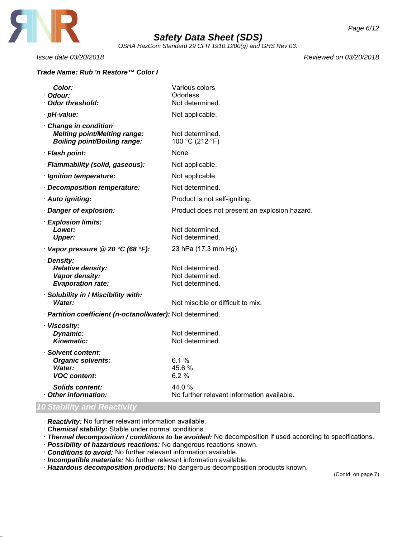

*OSHA HazCom Standard 29 CFR 1910.1200(g) and GHS Rev 03.*

### *Trade Name: Rub 'n Restore™ Color I*

*Issue date 03/20/2018 Reviewed on 03/20/2018*

| <b>Color:</b><br>· Odour:                                                                         | Various colors<br><b>Odorless</b>                     |
|---------------------------------------------------------------------------------------------------|-------------------------------------------------------|
| · Odor threshold:                                                                                 | Not determined.                                       |
| · pH-value:                                                                                       | Not applicable.                                       |
| Change in condition<br><b>Melting point/Melting range:</b><br><b>Boiling point/Boiling range:</b> | Not determined.<br>100 °C (212 °F)                    |
| · Flash point:                                                                                    | None                                                  |
| · Flammability (solid, gaseous):                                                                  | Not applicable.                                       |
| · Ignition temperature:                                                                           | Not applicable                                        |
| Decomposition temperature:                                                                        | Not determined.                                       |
| · Auto igniting:                                                                                  | Product is not self-igniting.                         |
| · Danger of explosion:                                                                            | Product does not present an explosion hazard.         |
| · Explosion limits:<br>Lower:<br><b>Upper:</b>                                                    | Not determined.<br>Not determined.                    |
| Vapor pressure @ 20 °C (68 °F):                                                                   | 23 hPa (17.3 mm Hg)                                   |
| · Density:<br><b>Relative density:</b><br>Vapor density:<br><b>Evaporation rate:</b>              | Not determined.<br>Not determined.<br>Not determined. |
| · Solubility in / Miscibility with:<br>Water:                                                     | Not miscible or difficult to mix.                     |
| · Partition coefficient (n-octanol/water): Not determined.                                        |                                                       |
| · Viscosity:<br>Dynamic:<br><b>Kinematic:</b>                                                     | Not determined.<br>Not determined.                    |
| · Solvent content:<br><b>Organic solvents:</b><br>Water:<br><b>VOC content:</b>                   | 6.1%<br>45.6%<br>6.2%                                 |
| <b>Solids content:</b><br>Other information:                                                      | 44.0 %<br>No further relevant information available.  |

### *10 Stability and Reactivity*

· *Reactivity:* No further relevant information available.

· *Chemical stability:* Stable under normal conditions.

· *Thermal decomposition / conditions to be avoided:* No decomposition if used according to specifications.

- · *Possibility of hazardous reactions:* No dangerous reactions known.
- · *Conditions to avoid:* No further relevant information available.
- · *Incompatible materials:* No further relevant information available.
- · *Hazardous decomposition products:* No dangerous decomposition products known.

(Contd. on page 7)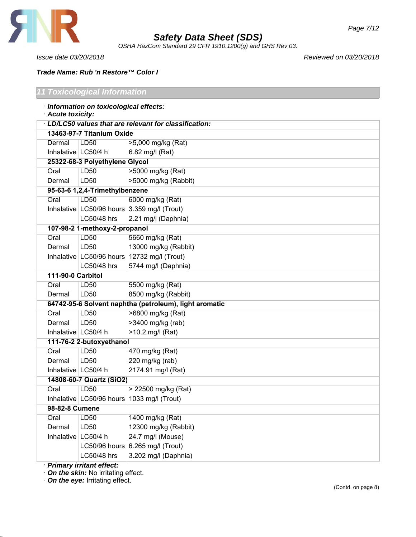

*OSHA HazCom Standard 29 CFR 1910.1200(g) and GHS Rev 03.*

٦

*Issue date 03/20/2018 Reviewed on 03/20/2018*

### *Trade Name: Rub 'n Restore™ Color I*

| '1 Toxicological Information                           |                                |                                                        |  |  |
|--------------------------------------------------------|--------------------------------|--------------------------------------------------------|--|--|
| · Information on toxicological effects:                |                                |                                                        |  |  |
| · Acute toxicity:                                      |                                |                                                        |  |  |
| · LD/LC50 values that are relevant for classification: |                                |                                                        |  |  |
|                                                        | 13463-97-7 Titanium Oxide      |                                                        |  |  |
| Dermal                                                 | LD50                           | >5,000 mg/kg (Rat)                                     |  |  |
| Inhalative   LC50/4 h                                  |                                | 6.82 mg/l (Rat)                                        |  |  |
|                                                        | 25322-68-3 Polyethylene Glycol |                                                        |  |  |
| Oral                                                   | LD50                           | >5000 mg/kg (Rat)                                      |  |  |
| Dermal                                                 | LD50                           | >5000 mg/kg (Rabbit)                                   |  |  |
|                                                        | 95-63-6 1,2,4-Trimethylbenzene |                                                        |  |  |
| Oral                                                   | LD50                           | 6000 mg/kg (Rat)                                       |  |  |
|                                                        |                                | Inhalative $ $ LC50/96 hours $ 3.359$ mg/l (Trout)     |  |  |
|                                                        | LC50/48 hrs                    | 2.21 mg/l (Daphnia)                                    |  |  |
|                                                        | 107-98-2 1-methoxy-2-propanol  |                                                        |  |  |
| Oral                                                   | LD50                           | 5660 mg/kg (Rat)                                       |  |  |
| Dermal                                                 | LD50                           | 13000 mg/kg (Rabbit)                                   |  |  |
|                                                        |                                | Inhalative LC50/96 hours 12732 mg/l (Trout)            |  |  |
|                                                        | LC50/48 hrs                    | 5744 mg/l (Daphnia)                                    |  |  |
| 111-90-0 Carbitol                                      |                                |                                                        |  |  |
| Oral                                                   | LD50                           | 5500 mg/kg (Rat)                                       |  |  |
| Dermal                                                 | LD50                           | 8500 mg/kg (Rabbit)                                    |  |  |
|                                                        |                                | 64742-95-6 Solvent naphtha (petroleum), light aromatic |  |  |
| Oral                                                   | LD50                           | >6800 mg/kg (Rat)                                      |  |  |
| Dermal                                                 | LD50                           | >3400 mg/kg (rab)                                      |  |  |
| Inhalative   LC50/4 h                                  |                                | >10.2 mg/l (Rat)                                       |  |  |
|                                                        | 111-76-2 2-butoxyethanol       |                                                        |  |  |
| Oral                                                   | LD50                           | 470 mg/kg (Rat)                                        |  |  |
| Dermal                                                 | LD50                           | 220 mg/kg (rab)                                        |  |  |
| Inhalative   LC50/4 h                                  |                                | 2174.91 mg/l (Rat)                                     |  |  |
|                                                        | 14808-60-7 Quartz (SiO2)       |                                                        |  |  |
| Oral                                                   | <b>LD50</b>                    | > 22500 mg/kg (Rat)                                    |  |  |
|                                                        |                                | Inhalative LC50/96 hours 1033 mg/l (Trout)             |  |  |
| 98-82-8 Cumene                                         |                                |                                                        |  |  |
| Oral                                                   | LD50                           | 1400 mg/kg (Rat)                                       |  |  |
| Dermal                                                 | LD50                           | 12300 mg/kg (Rabbit)                                   |  |  |
| Inhalative LC50/4 h                                    |                                | 24.7 mg/l (Mouse)                                      |  |  |
|                                                        |                                | LC50/96 hours 6.265 mg/l (Trout)                       |  |  |
|                                                        | LC50/48 hrs                    | 3.202 mg/l (Daphnia)                                   |  |  |
|                                                        |                                |                                                        |  |  |

· *Primary irritant effect:*

· *On the skin:* No irritating effect.

· *On the eye:* Irritating effect.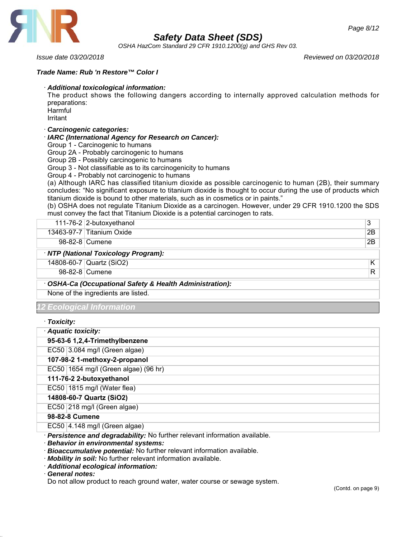

*OSHA HazCom Standard 29 CFR 1910.1200(g) and GHS Rev 03.*

*Issue date 03/20/2018 Reviewed on 03/20/2018*

*Page 8/12*

### *Trade Name: Rub 'n Restore™ Color I*

#### · *Additional toxicological information:*

The product shows the following dangers according to internally approved calculation methods for preparations:

Harmful Irritant

### · *Carcinogenic categories:*

· *IARC (International Agency for Research on Cancer):*

Group 1 - Carcinogenic to humans

Group 2A - Probably carcinogenic to humans

Group 2B - Possibly carcinogenic to humans

Group 3 - Not classifiable as to its carcinogenicity to humans

Group 4 - Probably not carcinogenic to humans

(a) Although IARC has classified titanium dioxide as possible carcinogenic to human (2B), their summary concludes: "No significant exposure to titanium dioxide is thought to occur during the use of products which titanium dioxide is bound to other materials, such as in cosmetics or in paints."

(b) OSHA does not regulate Titanium Dioxide as a carcinogen. However, under 29 CFR 1910.1200 the SDS must convey the fact that Titanium Dioxide is a potential carcinogen to rats.

| 111-76-2 $ 2$ -butoxyethanol                           | 3  |
|--------------------------------------------------------|----|
| 13463-97-7 Titanium Oxide                              | 2B |
| 98-82-8 Cumene                                         | 2B |
| · NTP (National Toxicology Program):                   |    |
| 14808-60-7 Quartz (SiO2)                               | Κ  |
| 98-82-8 Cumene                                         | R  |
| OSHA-Ca (Occupational Safety & Health Administration): |    |
| None of the ingredients are listed.                    |    |
| 12 Ecological Information                              |    |

· *Toxicity:*

| , ,,,,,,,,,                          |
|--------------------------------------|
| · Aquatic toxicity:                  |
| 95-63-6 1,2,4-Trimethylbenzene       |
| EC50 3.084 mg/l (Green algae)        |
| 107-98-2 1-methoxy-2-propanol        |
| EC50 1654 mg/l (Green algae) (96 hr) |
| 111-76-2 2-butoxyethanol             |
| $EC50$ 1815 mg/l (Water flea)        |
| 14808-60-7 Quartz (SiO2)             |
| EC50 218 mg/l (Green algae)          |
| 98-82-8 Cumene                       |
| $EC50$ 4.148 mg/l (Green algae)      |
|                                      |

· *Persistence and degradability:* No further relevant information available.

· *Behavior in environmental systems:*

· *Bioaccumulative potential:* No further relevant information available.

· *Mobility in soil:* No further relevant information available.

· *Additional ecological information:*

· *General notes:*

Do not allow product to reach ground water, water course or sewage system.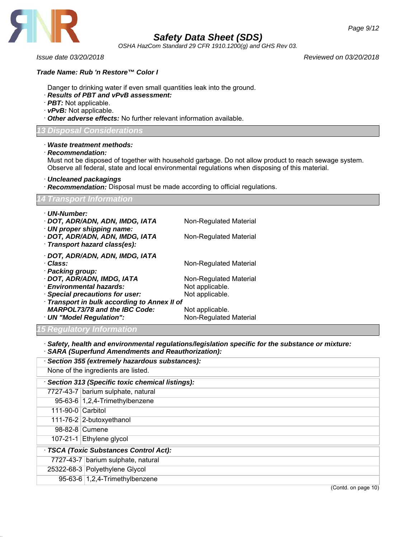

*OSHA HazCom Standard 29 CFR 1910.1200(g) and GHS Rev 03.*

*Issue date 03/20/2018 Reviewed on 03/20/2018*

#### *Trade Name: Rub 'n Restore™ Color I*

- Danger to drinking water if even small quantities leak into the ground.
- · *Results of PBT and vPvB assessment:*
- · *PBT:* Not applicable.
- · *vPvB:* Not applicable.
- · *Other adverse effects:* No further relevant information available.

#### *13 Disposal Considerations*

#### · *Waste treatment methods:*

· *Recommendation:*

Must not be disposed of together with household garbage. Do not allow product to reach sewage system. Observe all federal, state and local environmental regulations when disposing of this material.

· *Uncleaned packagings*

· *Recommendation:* Disposal must be made according to official regulations.

| <b>14 Transport Information</b>                                                     |                                                  |  |
|-------------------------------------------------------------------------------------|--------------------------------------------------|--|
| · UN-Number:<br>· DOT, ADR/ADN, ADN, IMDG, IATA<br>$\cdot$ UN proper shipping name: | Non-Regulated Material                           |  |
| · DOT, ADR/ADN, ADN, IMDG, IATA<br>· Transport hazard class(es):                    | Non-Regulated Material                           |  |
| · DOT, ADR/ADN, ADN, IMDG, IATA<br>· Class:<br>· Packing group:                     | Non-Regulated Material                           |  |
| · DOT, ADR/ADN, IMDG, IATA<br>· Environmental hazards:                              | Non-Regulated Material<br>Not applicable.        |  |
| · Special precautions for user:<br>· Transport in bulk according to Annex II of     | Not applicable.                                  |  |
| <b>MARPOL73/78 and the IBC Code:</b><br>· UN "Model Regulation":                    | Not applicable.<br><b>Non-Regulated Material</b> |  |
| <b>15 Regulatory Information</b>                                                    |                                                  |  |

· *Safety, health and environmental regulations/legislation specific for the substance or mixture:*

· *SARA (Superfund Amendments and Reauthorization):*

| · Section 355 (extremely hazardous substances):   |  |  |
|---------------------------------------------------|--|--|
| None of the ingredients are listed.               |  |  |
| · Section 313 (Specific toxic chemical listings): |  |  |
| 7727-43-7 barium sulphate, natural                |  |  |
| 95-63-6 $1,2,4$ -Trimethylbenzene                 |  |  |
| $111-90-0$ Carbitol                               |  |  |
| 111-76-2 2-butoxyethanol                          |  |  |
| 98-82-8 Cumene                                    |  |  |
| 107-21-1 Ethylene glycol                          |  |  |
| · TSCA (Toxic Substances Control Act):            |  |  |
| 7727-43-7 barium sulphate, natural                |  |  |
| 25322-68-3 Polyethylene Glycol                    |  |  |
| 95-63-6 1,2,4-Trimethylbenzene                    |  |  |
|                                                   |  |  |

(Contd. on page 10)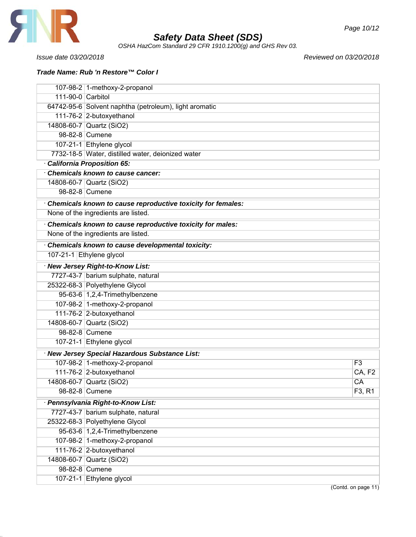

*OSHA HazCom Standard 29 CFR 1910.1200(g) and GHS Rev 03.*

*Issue date 03/20/2018 Reviewed on 03/20/2018*

*Trade Name: Rub 'n Restore™ Color I*

|                   | 107-98-2 1-methoxy-2-propanol                               |                     |
|-------------------|-------------------------------------------------------------|---------------------|
| 111-90-0 Carbitol |                                                             |                     |
|                   | 64742-95-6 Solvent naphtha (petroleum), light aromatic      |                     |
|                   | 111-76-2 2-butoxyethanol                                    |                     |
|                   | 14808-60-7 Quartz (SiO2)                                    |                     |
|                   | 98-82-8 Cumene                                              |                     |
|                   | 107-21-1 Ethylene glycol                                    |                     |
|                   | 7732-18-5 Water, distilled water, deionized water           |                     |
|                   | California Proposition 65:                                  |                     |
|                   | Chemicals known to cause cancer:                            |                     |
|                   | 14808-60-7 Quartz (SiO2)                                    |                     |
|                   | 98-82-8 Cumene                                              |                     |
|                   | Chemicals known to cause reproductive toxicity for females: |                     |
|                   | None of the ingredients are listed.                         |                     |
|                   | Chemicals known to cause reproductive toxicity for males:   |                     |
|                   | None of the ingredients are listed.                         |                     |
|                   | Chemicals known to cause developmental toxicity:            |                     |
|                   | 107-21-1 Ethylene glycol                                    |                     |
|                   | · New Jersey Right-to-Know List:                            |                     |
|                   | 7727-43-7 barium sulphate, natural                          |                     |
|                   | 25322-68-3 Polyethylene Glycol                              |                     |
|                   | 95-63-6 1,2,4-Trimethylbenzene                              |                     |
|                   | 107-98-2 1-methoxy-2-propanol                               |                     |
|                   | 111-76-2 2-butoxyethanol                                    |                     |
|                   | 14808-60-7 Quartz (SiO2)                                    |                     |
|                   | 98-82-8 Cumene                                              |                     |
|                   | 107-21-1 Ethylene glycol                                    |                     |
|                   | · New Jersey Special Hazardous Substance List:              |                     |
|                   | 107-98-2 1-methoxy-2-propanol                               | F3                  |
|                   | 111-76-2 2-butoxyethanol                                    | CA, F2              |
|                   | 14808-60-7 Quartz (SiO2)                                    | $\overline{CA}$     |
|                   | 98-82-8 Cumene                                              | F3, R1              |
|                   | · Pennsylvania Right-to-Know List:                          |                     |
|                   | 7727-43-7 barium sulphate, natural                          |                     |
|                   | 25322-68-3 Polyethylene Glycol                              |                     |
|                   | 95-63-6 1,2,4-Trimethylbenzene                              |                     |
|                   | 107-98-2 1-methoxy-2-propanol                               |                     |
|                   | 111-76-2 2-butoxyethanol                                    |                     |
|                   | 14808-60-7 Quartz (SiO2)                                    |                     |
|                   | 98-82-8 Cumene                                              |                     |
|                   | 107-21-1 Ethylene glycol                                    |                     |
|                   |                                                             | (Contd. on page 11) |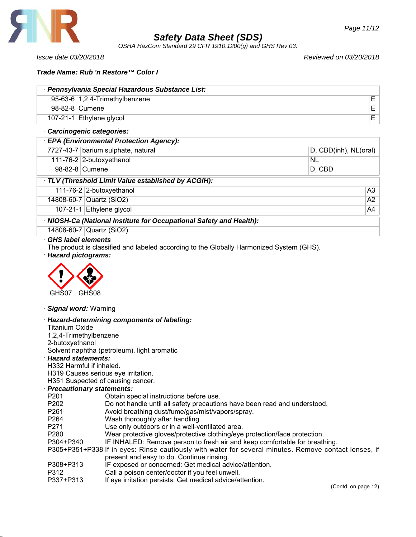

*OSHA HazCom Standard 29 CFR 1910.1200(g) and GHS Rev 03.*

*Issue date 03/20/2018 Reviewed on 03/20/2018*

### *Trade Name: Rub 'n Restore™ Color I*

| · Pennsylvania Special Hazardous Substance List: |                                   |  |
|--------------------------------------------------|-----------------------------------|--|
|                                                  | 95-63-6 $1,2,4$ -Trimethylbenzene |  |
|                                                  | 98-82-8 Cumene                    |  |
|                                                  | 107-21-1 Ethylene glycol          |  |
| $R$ analmaaranta aataarantaar                    |                                   |  |

### · *Carcinogenic categories:*

| · EPA (Environmental Protection Agency):                            |                                    |                       |  |  |
|---------------------------------------------------------------------|------------------------------------|-----------------------|--|--|
|                                                                     | 7727-43-7 barium sulphate, natural | D, CBD(inh), NL(oral) |  |  |
|                                                                     | 111-76-2 2-butoxyethanol           | <b>NL</b>             |  |  |
|                                                                     | 98-82-8 Cumene                     | D, CBD                |  |  |
| TLV (Threshold Limit Value established by ACGIH):                   |                                    |                       |  |  |
|                                                                     | 111-76-2 2-butoxyethanol           | A3                    |  |  |
|                                                                     | 14808-60-7 Quartz (SiO2)           | A2                    |  |  |
|                                                                     | 107-21-1 Ethylene glycol           | A4                    |  |  |
| · NIOSH-Ca (National Institute for Occupational Safety and Health): |                                    |                       |  |  |
|                                                                     | 14808-60-7 Quartz (SiO2)           |                       |  |  |

# · *GHS label elements*

The product is classified and labeled according to the Globally Harmonized System (GHS).

· *Hazard pictograms:*



#### · *Signal word:* Warning

#### · *Hazard-determining components of labeling:* Titanium Oxide

| 1,2,4-Trimethylbenzene              |                                                                                                       |  |  |
|-------------------------------------|-------------------------------------------------------------------------------------------------------|--|--|
| 2-butoxyethanol                     |                                                                                                       |  |  |
|                                     | Solvent naphtha (petroleum), light aromatic                                                           |  |  |
| <b>Hazard statements:</b>           |                                                                                                       |  |  |
| H332 Harmful if inhaled.            |                                                                                                       |  |  |
| H319 Causes serious eye irritation. |                                                                                                       |  |  |
| H351 Suspected of causing cancer.   |                                                                                                       |  |  |
| <b>Precautionary statements:</b>    |                                                                                                       |  |  |
| P <sub>201</sub>                    | Obtain special instructions before use.                                                               |  |  |
| P <sub>202</sub>                    | Do not handle until all safety precautions have been read and understood.                             |  |  |
| P <sub>261</sub>                    | Avoid breathing dust/fume/gas/mist/vapors/spray.                                                      |  |  |
| P <sub>264</sub>                    | Wash thoroughly after handling.                                                                       |  |  |
| P <sub>271</sub>                    | Use only outdoors or in a well-ventilated area.                                                       |  |  |
| P <sub>280</sub>                    | Wear protective gloves/protective clothing/eye protection/face protection.                            |  |  |
| P304+P340                           | IF INHALED: Remove person to fresh air and keep comfortable for breathing.                            |  |  |
|                                     | P305+P351+P338 If in eyes: Rinse cautiously with water for several minutes. Remove contact lenses, if |  |  |
|                                     | present and easy to do. Continue rinsing.                                                             |  |  |
| P308+P313                           | IF exposed or concerned: Get medical advice/attention.                                                |  |  |
| P312                                | Call a poison center/doctor if you feel unwell.                                                       |  |  |

P337+P313 If eye irritation persists: Get medical advice/attention.